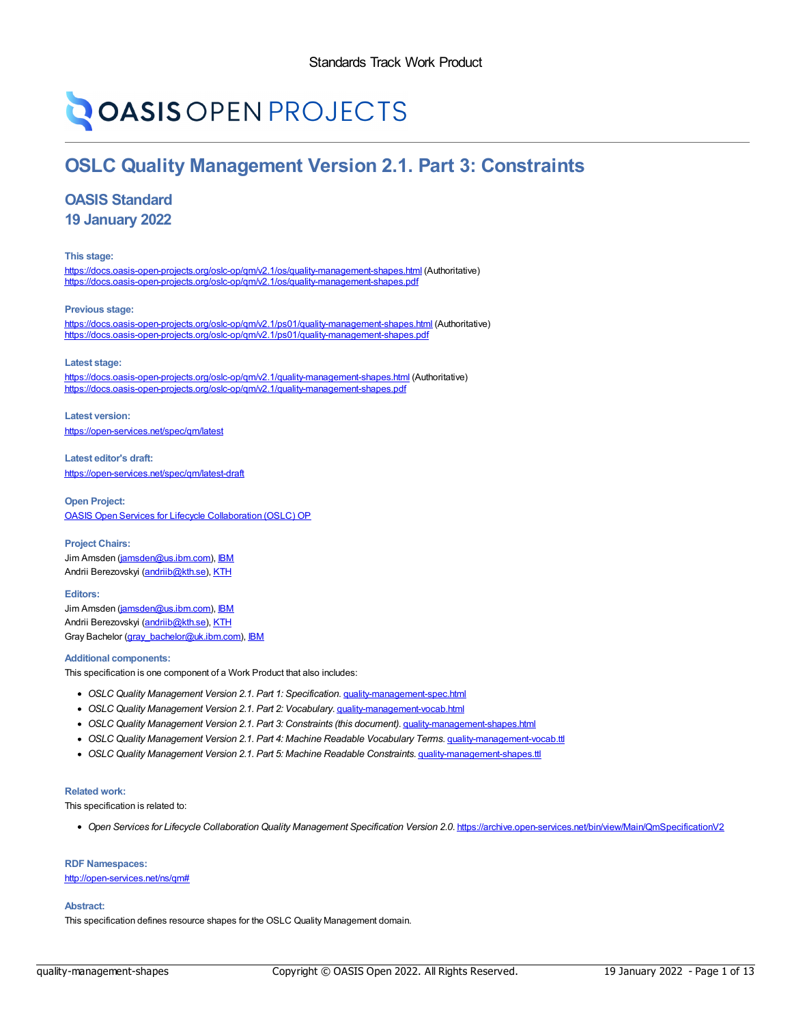# **OASIS OPEN PROJECTS**

## **OSLC Quality Management Version 2.1. Part 3: Constraints**

## **OASIS Standard**

**19 January 2022**

**This stage:**

<https://docs.oasis-open-projects.org/oslc-op/qm/v2.1/os/quality-management-shapes.html> (Authoritative) <https://docs.oasis-open-projects.org/oslc-op/qm/v2.1/os/quality-management-shapes.pdf>

**Previous stage:**

<https://docs.oasis-open-projects.org/oslc-op/qm/v2.1/ps01/quality-management-shapes.html> (Authoritative) <https://docs.oasis-open-projects.org/oslc-op/qm/v2.1/ps01/quality-management-shapes.pdf>

**Latest stage:**

<https://docs.oasis-open-projects.org/oslc-op/qm/v2.1/quality-management-shapes.html> (Authoritative) <https://docs.oasis-open-projects.org/oslc-op/qm/v2.1/quality-management-shapes.pdf>

**Latest version:** <https://open-services.net/spec/qm/latest>

**Latest editor's draft:** <https://open-services.net/spec/qm/latest-draft>

**Open Project:** OASIS Open Services for Lifecycle [Collaboration](https://open-services.net/about/) (OSLC) OP

**Project Chairs:** Jim Amsden [\(jamsden@us.ibm.com](mailto:jamsden@us.ibm.com)), [IBM](http://www.ibm.com/) Andrii Berezovskyi [\(andriib@kth.se](mailto:andriib@kth.se)), [KTH](https://www.kth.se/en)

**Editors:** Jim Amsden [\(jamsden@us.ibm.com](mailto:jamsden@us.ibm.com)), [IBM](http://www.ibm.com) Andrii Berezovskyi [\(andriib@kth.se](mailto:andriib@kth.se)), [KTH](https://www.kth.se/en) Gray Bachelor [\(gray\\_bachelor@uk.ibm.com](mailto:gray_bachelor@uk.ibm.com)), [IBM](http://www.ibm.com)

#### **Additional components:**

This specification is one component of a Work Product that also includes:

- *OSLC Quality Management Version 2.1. Part 1: Specification*. [quality-management-spec.html](https://docs.oasis-open-projects.org/oslc-op/qm/v2.1/os/quality-management-spec.html)
- *OSLC Quality Management Version 2.1. Part 2: Vocabulary*. [quality-management-vocab.html](https://docs.oasis-open-projects.org/oslc-op/qm/v2.1/os/quality-management-vocab.html)
- *OSLC Quality Management Version 2.1. Part 3: Constraints (this document)*. [quality-management-shapes.html](https://docs.oasis-open-projects.org/oslc-op/qm/v2.1/os/quality-management-shapes.html)
- *OSLC Quality Management Version 2.1. Part 4: Machine Readable Vocabulary Terms*. [quality-management-vocab.ttl](https://docs.oasis-open-projects.org/oslc-op/qm/v2.1/os/quality-management-vocab.ttl)
- *OSLC Quality Management Version 2.1. Part 5: Machine Readable Constraints*. [quality-management-shapes.ttl](https://docs.oasis-open-projects.org/oslc-op/qm/v2.1/os/quality-management-shapes.ttl)

#### **Related work:**

This specification is related to:

*Open Services for Lifecycle Collaboration Quality Management Specification Version 2.0*. <https://archive.open-services.net/bin/view/Main/QmSpecificationV2>

#### **RDF Namespaces:**

<http://open-services.net/ns/qm#>

#### **Abstract:**

This specification defines resource shapes for the OSLC Quality Management domain.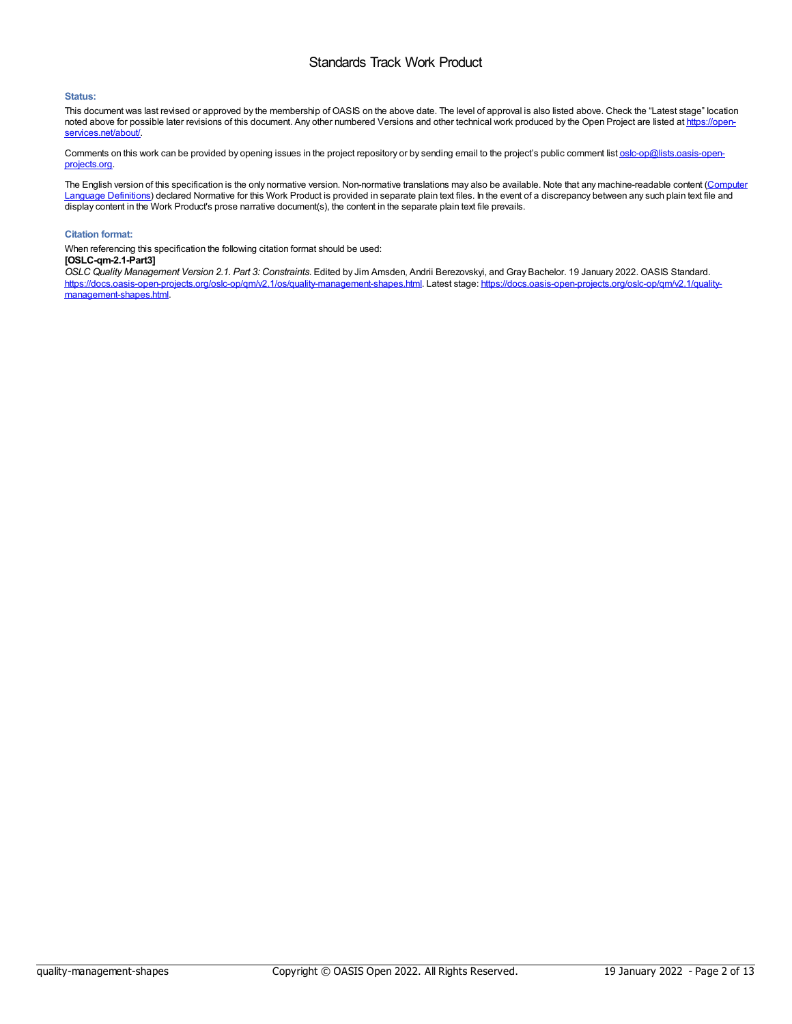#### **Status:**

This document was last revised or approved by the membership of OASIS on the above date. The level of approval is also listed above. Check the "Latest stage" location noted above for possible later revisions of this document. Any other numbered Versions and other technical work produced by the Open Project are listed at https://openservices.net/about/

Comments on this work can be provided by opening issues in the project repository or by sending email to the project's public comment list [oslc-op@lists.oasis-open](mailto:oslc-op@lists.oasis-open-projects.org)projects.org.

The English version of this specification is the only normative version. Non-normative translations may also be available. Note that any [machine-readable](https://www.oasis-open.org/policies-guidelines/tc-process#wpComponentsCompLang) content (Computer Language Definitions) declared Normative for this Work Product is provided in separate plain text files. In the event of a discrepancy between any such plain text file and display content in the Work Product's prose narrative document(s), the content in the separate plain text file prevails.

#### **Citation format:**

When referencing this specification the following citation format should be used:

#### **[OSLC-qm-2.1-Part3]**

*OSLC Quality Management Version 2.1. Part 3: Constraints*. Edited by Jim Amsden, Andrii Berezovskyi, and Gray Bachelor. 19 January 2022. OASIS Standard. [https://docs.oasis-open-projects.org/oslc-op/qm/v2.1/os/quality-management-shapes.html.](https://docs.oasis-open-projects.org/oslc-op/qm/v2.1/quality-management-shapes.html) Latest stage: https://docs.oasis-open-projects.org/oslc-op/qm/v2.1/qualitymanagement-shapes.html.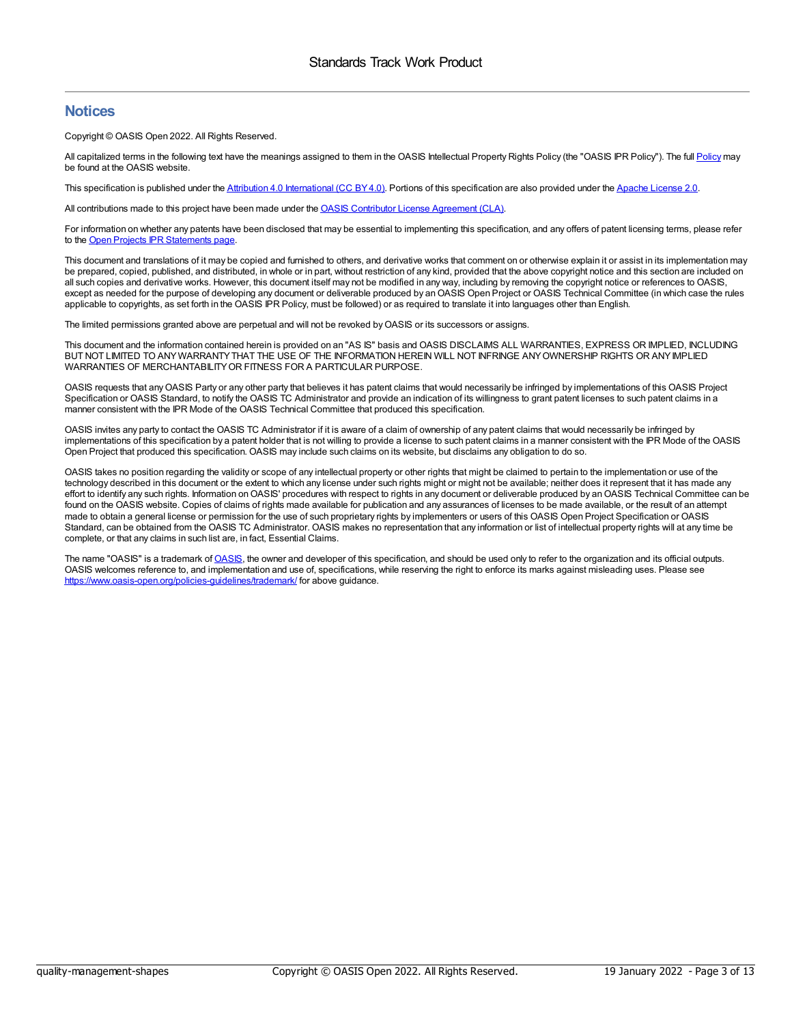## **Notices**

Copyright © OASIS Open 2022. All Rights Reserved.

All capitalized terms in the following text have the meanings assigned to them in the OASIS Intellectual Property Rights [Policy](https://www.oasis-open.org/policies-guidelines/ipr/) (the "OASIS IPR Policy"). The full Policy may be found at the OASIS website.

This specification is published under the Attribution 4.0 [International](https://creativecommons.org/licenses/by/4.0/legalcode) (CC BY4.0). Portions of this specification are also provided under the Apache [License](https://www.apache.org/licenses/LICENSE-2.0) 2.0.

All contributions made to this project have been made under the **OASIS Contributor License [Agreement](https://www.oasis-open.org/policies-guidelines/open-projects-process#individual-cla-exhibit) (CLA)**.

For information on whether any patents have been disclosed that may be essential to implementing this specification, and any offers of patent licensing terms, please refer to the Open Projects IPR [Statements](https://github.com/oasis-open-projects/administration/blob/master/IPR_STATEMENTS.md#open-services-for-lifecycle-collaboration-oslc-open-project) page.

This document and translations of it may be copied and furnished to others, and derivative works that comment on or otherwise explain it or assist in its implementation may be prepared, copied, published, and distributed, in whole or in part, without restriction of any kind, provided that the above copyright notice and this section are included on all such copies and derivative works. However, this document itself may not be modified in any way, including by removing the copyright notice or references to OASIS, except as needed for the purpose of developing any document or deliverable produced by an OASIS Open Project or OASIS Technical Committee (in which case the rules applicable to copyrights, as set forth in the OASIS IPR Policy, must be followed) or as required to translate it into languages other than English.

The limited permissions granted above are perpetual and will not be revoked by OASIS or its successors or assigns

This document and the information contained herein is provided on an "AS IS" basis and OASIS DISCLAIMS ALL WARRANTIES, EXPRESS OR IMPLIED, INCLUDING BUT NOT LIMITED TO ANYWARRANTYTHAT THE USE OF THE INFORMATION HEREIN WILL NOT INFRINGE ANYOWNERSHIP RIGHTS OR ANYIMPLIED WARRANTIES OF MERCHANTABILITYOR FITNESS FOR A PARTICULAR PURPOSE.

OASIS requests that anyOASIS Party or any other party that believes it has patent claims that would necessarily be infringed by implementations of this OASIS Project Specification or OASIS Standard, to notify the OASIS TC Administrator and provide an indication of its willingness to grant patent licenses to such patent claims in a manner consistent with the IPR Mode of the OASIS Technical Committee that produced this specification.

OASIS invites any party to contact the OASIS TC Administrator if it is aware of a claim of ownership of any patent claims that would necessarily be infringed by implementations of this specification by a patent holder that is not willing to provide a license to such patent claims in a manner consistent with the IPR Mode of the OASIS Open Project that produced this specification. OASIS may include such claims on its website, but disclaims any obligation to do so.

OASIS takes no position regarding the validity or scope of any intellectual property or other rights that might be claimed to pertain to the implementation or use of the technology described in this document or the extent to which any license under such rights might or might not be available; neither does it represent that it has made any effort to identify any such rights. Information on OASIS' procedures with respect to rights in any document or deliverable produced by an OASIS Technical Committee can be found on the OASIS website. Copies of claims of rights made available for publication and any assurances of licenses to be made available, or the result of an attempt made to obtain a general license or permission for the use of such proprietary rights by implementers or users of this OASIS Open Project Specification or OASIS Standard, can be obtained from the OASIS TC Administrator. OASIS makes no representation that any information or list of intellectual property rights will at any time be complete, or that any claims in such list are, in fact, Essential Claims.

The name "[OASIS](https://www.oasis-open.org)" is a trademark of OASIS, the owner and developer of this specification, and should be used only to refer to the organization and its official outputs. OASIS welcomes reference to, and implementation and use of, specifications, while reserving the right to enforce its marks against misleading uses. Please see <https://www.oasis-open.org/policies-guidelines/trademark/> for above guidance.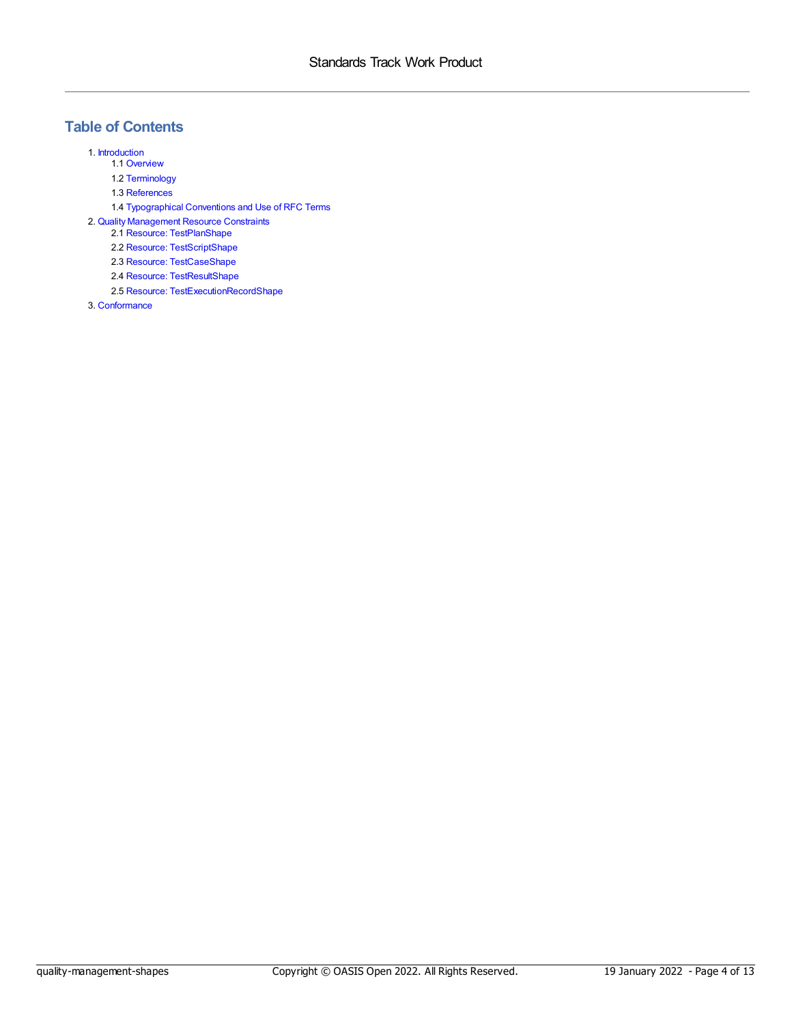## **Table of Contents**

1. [Introduction](#page-4-0)

- 1.1 [Overview](#page-4-1)
- 1.2 [Terminology](#page-4-2)
- 1.3 [References](#page-4-3)
- 1.4 [Typographical](#page-5-0) Conventions and Use of RFC Terms

2. Quality [Management](#page-8-0) Resource Constraints

- 2.1 Resource: [TestPlanShape](#page-6-0)
- 2.2 Resource: [TestScriptShape](#page-7-0)
- 2.3 Resource: [TestCaseShape](#page-8-1)
- 2.4 Resource: [TestResultShape](#page-9-0)
- 2.5 Resource: [TestExecutionRecordShape](#page-11-0)

3. [Conformance](#page-12-0)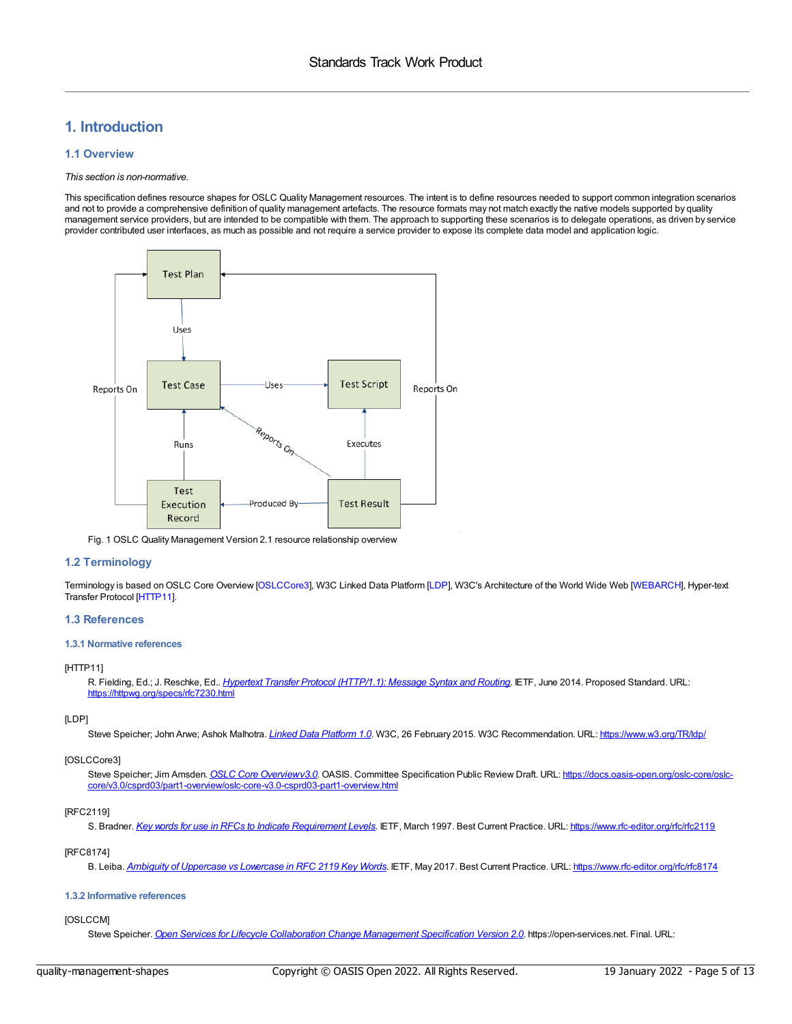## <span id="page-4-0"></span>**1. Introduction**

#### <span id="page-4-1"></span>**1.1 Overview**

#### *This section is non-normative.*

This specification defines resource shapes for OSLC Quality Management resources. The intent is to define resources needed to support common integration scenarios and not to provide a comprehensive definition of quality management artefacts. The resource formats may not match exactly the native models supported by quality management service providers, but are intended to be compatible with them. The approach to supporting these scenarios is to delegate operations, as driven by service provider contributed user interfaces, as much as possible and not require a service provider to expose its complete data model and application logic.



Fig. 1 OSLC Quality Management Version 2.1 resource relationship overview

#### <span id="page-4-2"></span>**1.2 Terminology**

Terminology is based on OSLC Core Overview [[OSLCCore3](#page-4-4)], W3C Linked Data Platform [\[LDP](#page-4-5)], W3C's Architecture of the World Wide Web [\[WEBARCH](#page-5-1)], Hyper-text Transfer Protocol [\[HTTP11](#page-4-6)].

#### <span id="page-4-3"></span>**1.3 References**

#### **1.3.1 Normative references**

#### <span id="page-4-6"></span>[HTTP11]

R. Fielding, Ed.; J. Reschke, Ed.. *Hypertext Transfer Protocol [\(HTTP/1.1\):](https://httpwg.org/specs/rfc7230.html) Message Syntax and Routing*. IETF, June 2014. Proposed Standard. URL: <https://httpwg.org/specs/rfc7230.html>

#### <span id="page-4-5"></span>[LDP]

Steve Speicher; John Arwe; Ashok Malhotra. *Linked Data [Platform](https://www.w3.org/TR/ldp/) 1.0*. W3C, 26 February 2015. W3C Recommendation. URL: <https://www.w3.org/TR/ldp/>

#### <span id="page-4-4"></span>[OSLCCore3]

Steve Speicher; Jim Amsden. *OSLC Core [Overviewv3.0](https://docs.oasis-open.org/oslc-core/oslc-core/v3.0/csprd03/part1-overview/oslc-core-v3.0-csprd03-part1-overview.html)*. OASIS. Committee Specification Public Review Draft. URL: https://docs.oasis-open.org/oslc-core/oslc[core/v3.0/csprd03/part1-overview/oslc-core-v3.0-csprd03-part1-overview.html](https://docs.oasis-open.org/oslc-core/oslc-core/v3.0/csprd03/part1-overview/oslc-core-v3.0-csprd03-part1-overview.html)

#### <span id="page-4-7"></span>[RFC2119]

S. Bradner. *Key words for use in RFCs to Indicate [Requirement](https://www.rfc-editor.org/rfc/rfc2119) Levels*. IETF, March 1997. Best Current Practice. URL: <https://www.rfc-editor.org/rfc/rfc2119>

#### <span id="page-4-8"></span>[RFC8174]

B. Leiba. *Ambiguity of [Uppercase](https://www.rfc-editor.org/rfc/rfc8174) vs Lowercase in RFC 2119 Key Words*. IETF, May 2017. Best Current Practice. URL: <https://www.rfc-editor.org/rfc/rfc8174>

#### **1.3.2 Informative references**

#### <span id="page-4-9"></span>[OSLCCM]

Steve Speicher. *Open Services for Lifecycle [Collaboration](https://archive.open-services.net/bin/view/Main/CmSpecificationV2) Change Management Specification Version 2.0*. https://open-services.net. Final. URL: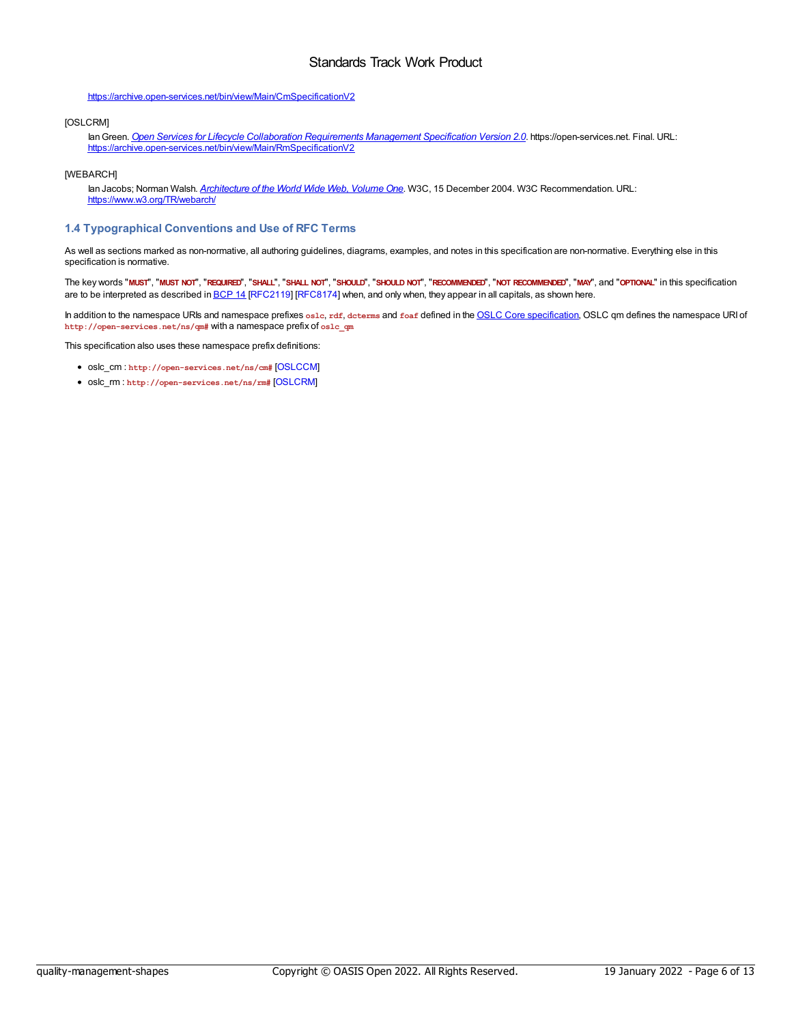#### <https://archive.open-services.net/bin/view/Main/CmSpecificationV2>

#### <span id="page-5-2"></span>[OSLCRM]

IanGreen. *Open Services for Lifecycle Collaboration [Requirements](https://archive.open-services.net/bin/view/Main/RmSpecificationV2) Management Specification Version 2.0*. https://open-services.net. Final. URL: <https://archive.open-services.net/bin/view/Main/RmSpecificationV2>

#### <span id="page-5-1"></span>[WEBARCH]

Ian Jacobs; Norman Walsh. *[Architecture](https://www.w3.org/TR/webarch/) of the World Wide Web, Volume One*. W3C, 15 December 2004. W3C Recommendation. URL: <https://www.w3.org/TR/webarch/>

#### <span id="page-5-0"></span>**1.4 Typographical Conventions and Use of RFC Terms**

As well as sections marked as non-normative, all authoring guidelines, diagrams, examples, and notes in this specification are non-normative. Everything else in this specification is normative.

The key words "MUST", "MUST NOT", "REQUIRED", "SHALL", "SHALL NOT", "SHOULD", "SHOULD NOT", "RECOMMENDED", "NOT RECOMMENDED", "MAY", and "OPTIONAL" in this specification are to be interpreted as described in [BCP](https://tools.ietf.org/html/bcp14) 14 [[RFC2119](#page-4-7)] [\[RFC8174](#page-4-8)] when, and only when, they appear in all capitals, as shown here.

In addition to the namespace URIs and namespace prefixes **oslc**, **rdf**, **dcterms** and **foaf** defined in the OSLC Core [specification](http://docs.oasis-open.org/oslc-core/oslc-core/v3.0/oslc-core-v3.0-part1-overview.html), OSLC qm defines the namespace URI of **http://open-services.net/ns/qm#** with a namespace prefix of **oslc\_qm**

This specification also uses these namespace prefix definitions:

- oslc\_cm : **http://open-services.net/ns/cm#** [\[OSLCCM](#page-4-9)]
- oslc\_rm : **http://open-services.net/ns/rm#** [\[OSLCRM](#page-5-2)]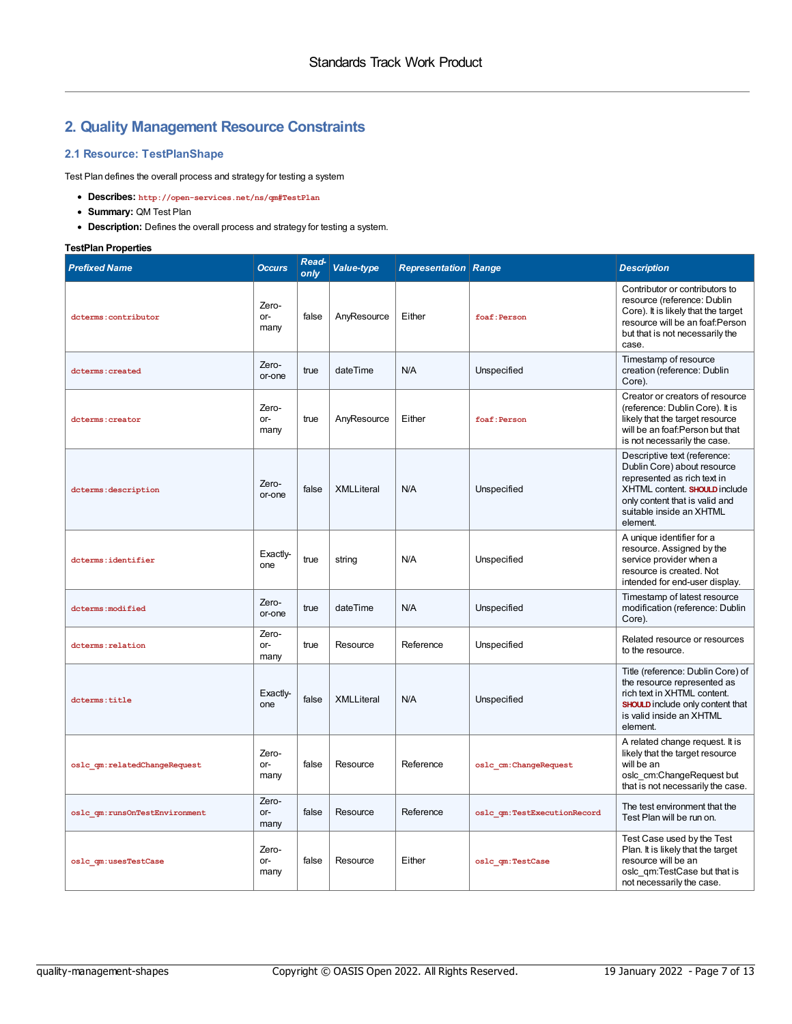## **2. Quality Management Resource Constraints**

#### <span id="page-6-0"></span>**2.1 Resource: TestPlanShape**

Test Plan defines the overall process and strategy for testing a system

- **Describes: http://open-services.net/ns/qm#TestPlan**
- **Summary:** QM Test Plan
- **Description:** Defines the overall process and strategy for testing a system.

### **TestPlan Properties**

| <b>Prefixed Name</b>          | <b>Occurs</b>          | Read-<br>only | Value-type        | <b>Representation Range</b> |                             | <b>Description</b>                                                                                                                                                                                    |
|-------------------------------|------------------------|---------------|-------------------|-----------------------------|-----------------------------|-------------------------------------------------------------------------------------------------------------------------------------------------------------------------------------------------------|
| dcterms: contributor          | Zero-<br>$or-$<br>many | false         | AnyResource       | Either                      | foaf: Person                | Contributor or contributors to<br>resource (reference: Dublin<br>Core). It is likely that the target<br>resource will be an foaf:Person<br>but that is not necessarily the<br>case.                   |
| dcterms: created              | Zero-<br>or-one        | true          | dateTime          | N/A                         | Unspecified                 | Timestamp of resource<br>creation (reference: Dublin<br>Core).                                                                                                                                        |
| doterms: creator              | Zero-<br>$or-$<br>many | true          | AnyResource       | Either                      | foaf: Person                | Creator or creators of resource<br>(reference: Dublin Core). It is<br>likely that the target resource<br>will be an foaf: Person but that<br>is not necessarily the case.                             |
| dcterms: description          | Zero-<br>or-one        | false         | <b>XMLLiteral</b> | N/A                         | Unspecified                 | Descriptive text (reference:<br>Dublin Core) about resource<br>represented as rich text in<br>XHTML content. SHOULD include<br>only content that is valid and<br>suitable inside an XHTML<br>element. |
| dcterms:identifier            | Exactiv-<br>one        | true          | string            | N/A                         | Unspecified                 | A unique identifier for a<br>resource. Assigned by the<br>service provider when a<br>resource is created. Not<br>intended for end-user display.                                                       |
| dcterms: modified             | Zero-<br>or-one        | true          | dateTime          | N/A                         | Unspecified                 | Timestamp of latest resource<br>modification (reference: Dublin<br>Core).                                                                                                                             |
| dcterms: relation             | Zero-<br>or-<br>many   | true          | Resource          | Reference                   | Unspecified                 | Related resource or resources<br>to the resource.                                                                                                                                                     |
| dcterms: title                | Exactiv-<br>one        | false         | <b>XMLLiteral</b> | N/A                         | Unspecified                 | Title (reference: Dublin Core) of<br>the resource represented as<br>rich text in XHTML content.<br>SHOULD include only content that<br>is valid inside an XHTML<br>element.                           |
| oslc qm:relatedChangeRequest  | Zero-<br>or-<br>many   | false         | Resource          | Reference                   | oslc cm:ChangeRequest       | A related change request. It is<br>likely that the target resource<br>will be an<br>oslc cm:ChangeRequest but<br>that is not necessarily the case.                                                    |
| oslc qm:runsOnTestEnvironment | Zero-<br>or-<br>many   | false         | Resource          | Reference                   | oslc qm:TestExecutionRecord | The test environment that the<br>Test Plan will be run on.                                                                                                                                            |
| oslc qm:usesTestCase          | Zero-<br>or-<br>many   | false         | Resource          | Either                      | oslc qm:TestCase            | Test Case used by the Test<br>Plan. It is likely that the target<br>resource will be an<br>oslc qm:TestCase but that is<br>not necessarily the case.                                                  |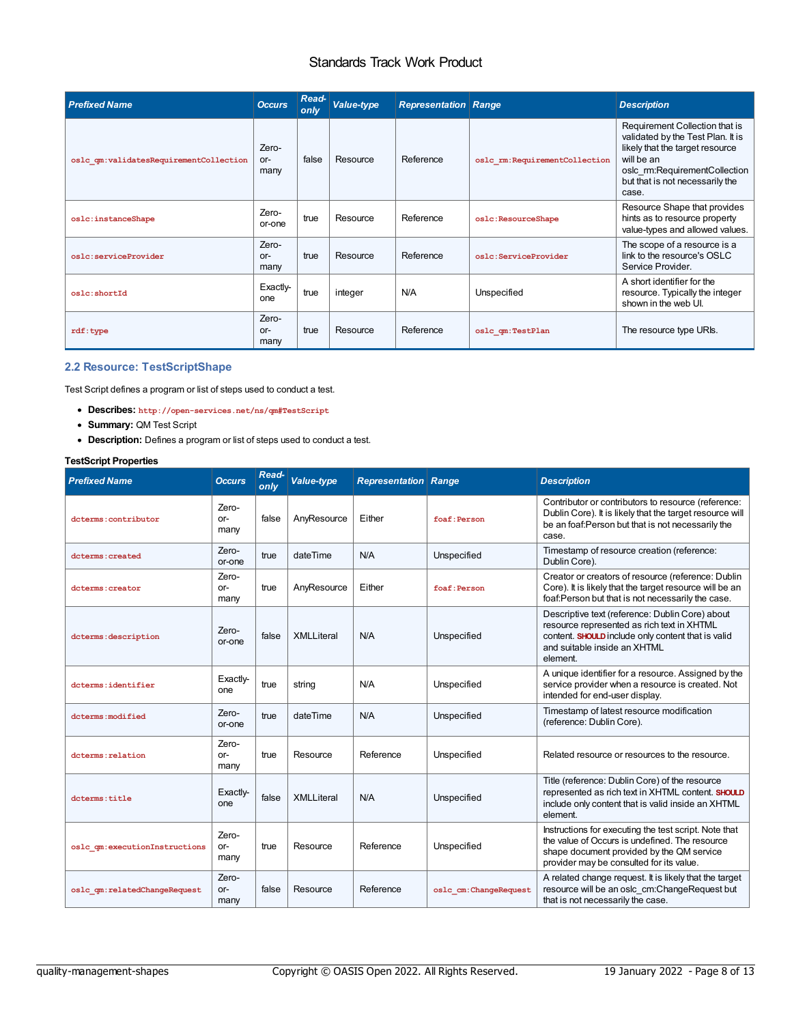| <b>Prefixed Name</b>                   | <b>Occurs</b>          | Read-<br>only | Value-type | <b>Representation Range</b> |                               | <b>Description</b>                                                                                                                                                                                |
|----------------------------------------|------------------------|---------------|------------|-----------------------------|-------------------------------|---------------------------------------------------------------------------------------------------------------------------------------------------------------------------------------------------|
| oslc qm:validatesRequirementCollection | Zero-<br>$or-$<br>many | false         | Resource   | Reference                   | oslc rm:RequirementCollection | Requirement Collection that is<br>validated by the Test Plan. It is<br>likely that the target resource<br>will be an<br>oslc rm:RequirementCollection<br>but that is not necessarily the<br>case. |
| oslc:instanceShape                     | Zero-<br>or-one        | true          | Resource   | Reference                   | oslc:ResourceShape            | Resource Shape that provides<br>hints as to resource property<br>value-types and allowed values.                                                                                                  |
| oslc:serviceProvider                   | Zero-<br>$or-$<br>many | true          | Resource   | Reference                   | oslc:ServiceProvider          | The scope of a resource is a<br>link to the resource's OSLC<br>Service Provider.                                                                                                                  |
| oslc:shortId                           | Exactly-<br>one        | true          | integer    | N/A                         | Unspecified                   | A short identifier for the<br>resource. Typically the integer<br>shown in the web UI.                                                                                                             |
| rdf:type                               | Zero-<br>$or-$<br>many | true          | Resource   | Reference                   | oslc qm:TestPlan              | The resource type URIs.                                                                                                                                                                           |

#### <span id="page-7-0"></span>**2.2 Resource: TestScriptShape**

Test Script defines a program or list of steps used to conduct a test.

- **Describes: http://open-services.net/ns/qm#TestScript**
- **Summary:** QM Test Script
- **Description:** Defines a program or list of steps used to conduct a test.

#### **TestScript Properties**

| <b>Prefixed Name</b>          | <b>Occurs</b>        | Read-<br>only | Value-type        | <b>Representation Range</b> |                       | <b>Description</b>                                                                                                                                                                               |
|-------------------------------|----------------------|---------------|-------------------|-----------------------------|-----------------------|--------------------------------------------------------------------------------------------------------------------------------------------------------------------------------------------------|
| dcterms: contributor          | Zero-<br>or-<br>many | false         | AnyResource       | Either                      | foaf: Person          | Contributor or contributors to resource (reference:<br>Dublin Core). It is likely that the target resource will<br>be an foaf: Person but that is not necessarily the<br>case.                   |
| dcterms: created              | Zero-<br>or-one      | true          | dateTime          | N/A                         | Unspecified           | Timestamp of resource creation (reference:<br>Dublin Core).                                                                                                                                      |
| dcterms: creator              | Zero-<br>or-<br>many | true          | AnyResource       | Either                      | foaf: Person          | Creator or creators of resource (reference: Dublin<br>Core). It is likely that the target resource will be an<br>foaf:Person but that is not necessarily the case.                               |
| dcterms: description          | Zero-<br>or-one      | false         | <b>XMLLiteral</b> | N/A                         | Unspecified           | Descriptive text (reference: Dublin Core) about<br>resource represented as rich text in XHTML<br>content. SHOULD include only content that is valid<br>and suitable inside an XHTML<br>element.  |
| dcterms:identifier            | Exactly-<br>one      | true          | string            | N/A                         | Unspecified           | A unique identifier for a resource. Assigned by the<br>service provider when a resource is created. Not<br>intended for end-user display.                                                        |
| dcterms: modified             | Zero-<br>or-one      | true          | dateTime          | N/A                         | Unspecified           | Timestamp of latest resource modification<br>(reference: Dublin Core).                                                                                                                           |
| dcterms: relation             | Zero-<br>or-<br>many | true          | Resource          | Reference                   | Unspecified           | Related resource or resources to the resource.                                                                                                                                                   |
| dcterms: title                | Exactly-<br>one      | false         | <b>XMLLiteral</b> | N/A                         | Unspecified           | Title (reference: Dublin Core) of the resource<br>represented as rich text in XHTML content. SHOULD<br>include only content that is valid inside an XHTML<br>element.                            |
| oslc qm:executionInstructions | Zero-<br>or-<br>many | true          | Resource          | Reference                   | Unspecified           | Instructions for executing the test script. Note that<br>the value of Occurs is undefined. The resource<br>shape document provided by the QM service<br>provider may be consulted for its value. |
| oslc qm:relatedChangeRequest  | Zero-<br>or-<br>many | false         | Resource          | Reference                   | oslc cm:ChangeRequest | A related change request. It is likely that the target<br>resource will be an oslc cm:ChangeRequest but<br>that is not necessarily the case.                                                     |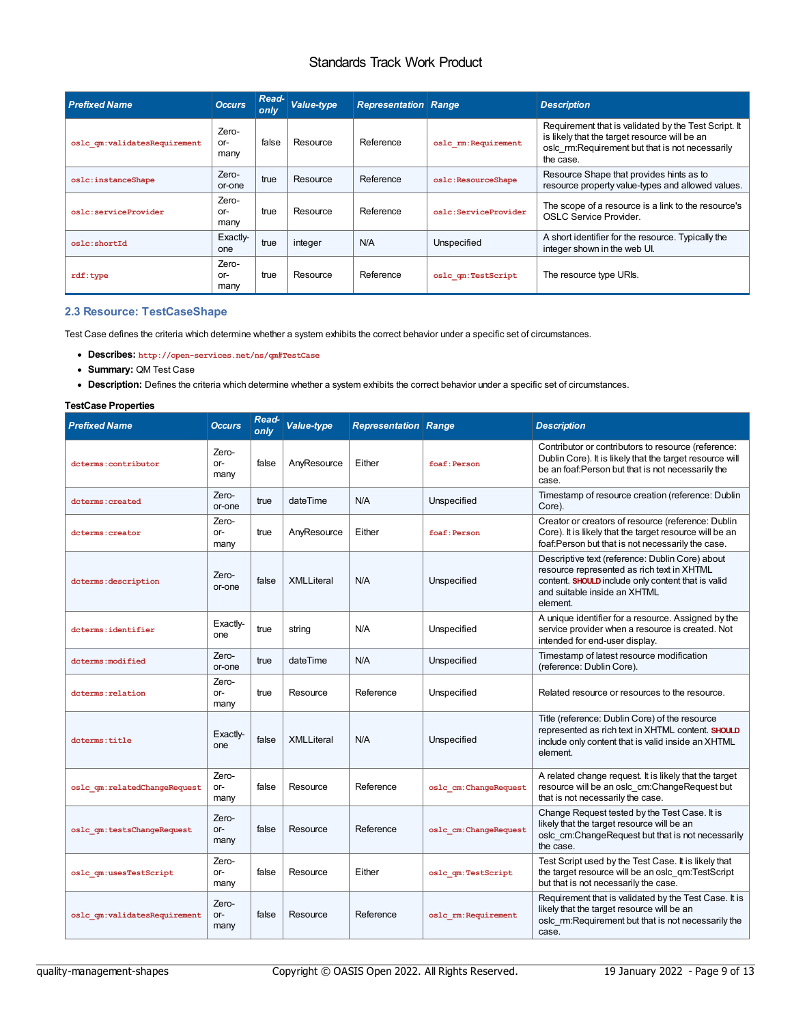<span id="page-8-0"></span>

| <b>Prefixed Name</b>         | <b>Occurs</b>          | Read-<br>only | Value-type | <b>Representation Range</b> |                      | <b>Description</b>                                                                                                                                                    |
|------------------------------|------------------------|---------------|------------|-----------------------------|----------------------|-----------------------------------------------------------------------------------------------------------------------------------------------------------------------|
| oslc qm:validatesRequirement | Zero-<br>or-<br>many   | false         | Resource   | Reference                   | oslc rm: Requirement | Requirement that is validated by the Test Script. It<br>is likely that the target resource will be an<br>oslc rm:Requirement but that is not necessarily<br>the case. |
| oslc:instanceShape           | Zero-<br>or-one        | true          | Resource   | Reference                   | oslc:ResourceShape   | Resource Shape that provides hints as to<br>resource property value-types and allowed values.                                                                         |
| oslc:serviceProvider         | Zero-<br>$or-$<br>many | true          | Resource   | Reference                   | oslc:ServiceProvider | The scope of a resource is a link to the resource's<br>OSLC Service Provider.                                                                                         |
| oslc:shortId                 | Exactly-<br>one        | true          | integer    | N/A                         | Unspecified          | A short identifier for the resource. Typically the<br>integer shown in the web UI.                                                                                    |
| rdf:type                     | Zero-<br>or-<br>many   | true          | Resource   | Reference                   | oslc qm:TestScript   | The resource type URIs.                                                                                                                                               |

#### <span id="page-8-1"></span>**2.3 Resource: TestCaseShape**

Test Case defines the criteria which determine whether a system exhibits the correct behavior under a specific set of circumstances.

- **Describes: http://open-services.net/ns/qm#TestCase**
- **Summary:** QM Test Case
- **Description:** Defines the criteria which determine whether a system exhibits the correct behavior under a specific set of circumstances.

#### **TestCase Properties**

| <b>Prefixed Name</b>         | <b>Occurs</b>        | Read-<br>only | Value-type        | <b>Representation Range</b> |                        | <b>Description</b>                                                                                                                                                                              |
|------------------------------|----------------------|---------------|-------------------|-----------------------------|------------------------|-------------------------------------------------------------------------------------------------------------------------------------------------------------------------------------------------|
| dcterms:contributor          | Zero-<br>or-<br>many | false         | AnyResource       | Either                      | foaf: Person           | Contributor or contributors to resource (reference:<br>Dublin Core). It is likely that the target resource will<br>be an foaf: Person but that is not necessarily the<br>case.                  |
| dcterms: created             | Zero-<br>or-one      | true          | dateTime          | N/A                         | Unspecified            | Timestamp of resource creation (reference: Dublin<br>Core).                                                                                                                                     |
| dcterms: creator             | Zero-<br>or-<br>many | true          | AnyResource       | Either                      | foaf: Person           | Creator or creators of resource (reference: Dublin<br>Core). It is likely that the target resource will be an<br>foaf:Person but that is not necessarily the case.                              |
| dcterms: description         | Zero-<br>or-one      | false         | <b>XMLLiteral</b> | N/A                         | Unspecified            | Descriptive text (reference: Dublin Core) about<br>resource represented as rich text in XHTML<br>content. SHOULD include only content that is valid<br>and suitable inside an XHTML<br>element. |
| dcterms:identifier           | Exactly-<br>one      | true          | string            | N/A                         | Unspecified            | A unique identifier for a resource. Assigned by the<br>service provider when a resource is created. Not<br>intended for end-user display.                                                       |
| dcterms: modified            | Zero-<br>or-one      | true          | dateTime          | N/A                         | Unspecified            | Timestamp of latest resource modification<br>(reference: Dublin Core).                                                                                                                          |
| dcterms: relation            | Zero-<br>or-<br>many | true          | Resource          | Reference                   | Unspecified            | Related resource or resources to the resource.                                                                                                                                                  |
| dcterms: title               | Exactly-<br>one      | false         | <b>XMLLiteral</b> | N/A                         | Unspecified            | Title (reference: Dublin Core) of the resource<br>represented as rich text in XHTML content. SHOULD<br>include only content that is valid inside an XHTML<br>element.                           |
| oslc_qm:relatedChangeRequest | Zero-<br>or-<br>many | false         | Resource          | Reference                   | oslc cm: ChangeRequest | A related change request. It is likely that the target<br>resource will be an oslc cm:ChangeRequest but<br>that is not necessarily the case.                                                    |
| oslc qm:testsChangeRequest   | Zero-<br>or-<br>many | false         | Resource          | Reference                   | oslc cm: ChangeRequest | Change Request tested by the Test Case. It is<br>likely that the target resource will be an<br>oslc cm:ChangeRequest but that is not necessarily<br>the case.                                   |
| oslc qm:usesTestScript       | Zero-<br>or-<br>many | false         | Resource          | Either                      | oslc qm:TestScript     | Test Script used by the Test Case. It is likely that<br>the target resource will be an oslc gm:TestScript<br>but that is not necessarily the case.                                              |
| oslc qm:validatesRequirement | Zero-<br>or-<br>many | false         | Resource          | Reference                   | oslc rm: Requirement   | Requirement that is validated by the Test Case. It is<br>likely that the target resource will be an<br>oslc rm:Requirement but that is not necessarily the<br>case.                             |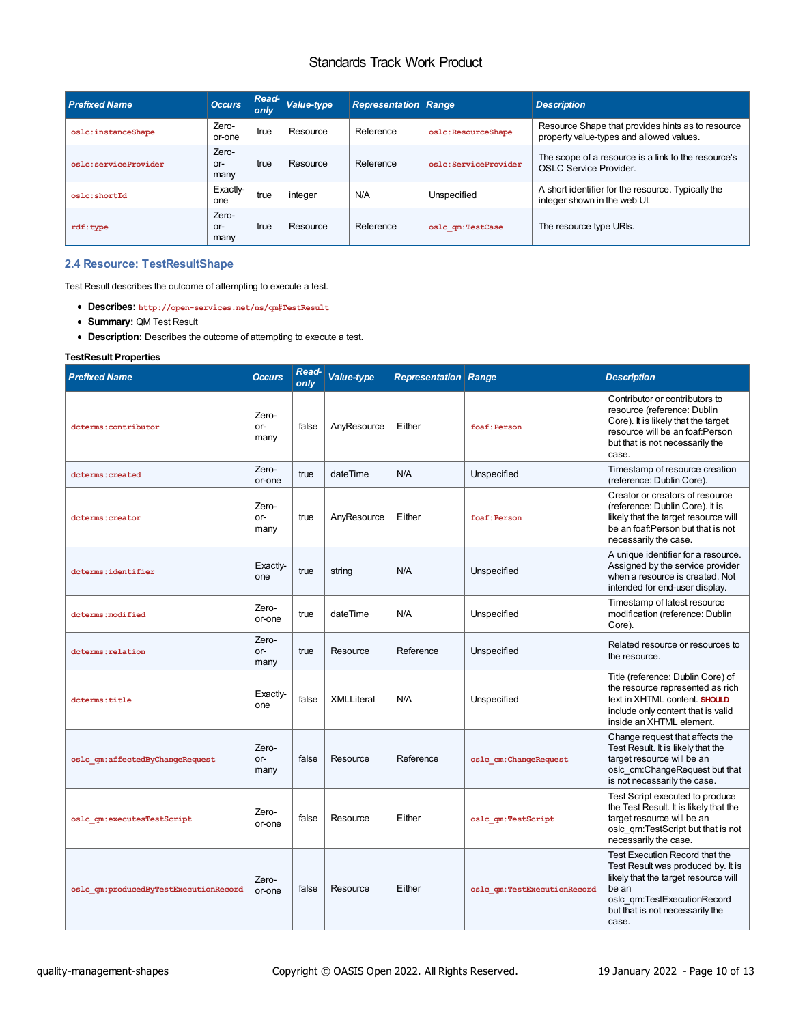| <b>Prefixed Name</b> | <b>Occurs</b>          | $Read-$<br>only | Value-type | <b>Representation Range</b> |                      | <b>Description</b>                                                                            |
|----------------------|------------------------|-----------------|------------|-----------------------------|----------------------|-----------------------------------------------------------------------------------------------|
| oslc:instanceShape   | Zero-<br>or-one        | true            | Resource   | Reference                   | oslc:ResourceShape   | Resource Shape that provides hints as to resource<br>property value-types and allowed values. |
| oslc:serviceProvider | Zero-<br>$or-$<br>many | true            | Resource   | Reference                   | oslc:ServiceProvider | The scope of a resource is a link to the resource's<br>OSLC Service Provider.                 |
| oslc:shortId         | Exactly-<br>one        | true            | integer    | N/A                         | Unspecified          | A short identifier for the resource. Typically the<br>integer shown in the web UI.            |
| rdf:type             | Zero-<br>$or-$<br>many | true            | Resource   | Reference                   | oslc qm:TestCase     | The resource type URIs.                                                                       |

#### <span id="page-9-0"></span>**2.4 Resource: TestResultShape**

Test Result describes the outcome of attempting to execute a test.

- **Describes: http://open-services.net/ns/qm#TestResult**
- **Summary:** QM Test Result
- **Description:** Describes the outcome of attempting to execute a test.

#### **TestResult Properties**

| <b>Prefixed Name</b>                  | <b>Occurs</b>          | Read-<br>only | <b>Value-type</b> | <b>Representation Range</b> |                             | <b>Description</b>                                                                                                                                                                               |
|---------------------------------------|------------------------|---------------|-------------------|-----------------------------|-----------------------------|--------------------------------------------------------------------------------------------------------------------------------------------------------------------------------------------------|
| dcterms: contributor                  | Zero-<br>or-<br>many   | false         | AnyResource       | Either                      | foaf: Person                | Contributor or contributors to<br>resource (reference: Dublin<br>Core). It is likely that the target<br>resource will be an foaf:Person<br>but that is not necessarily the<br>case.              |
| dcterms: created                      | Zero-<br>or-one        | true          | dateTime          | N/A                         | Unspecified                 | Timestamp of resource creation<br>(reference: Dublin Core).                                                                                                                                      |
| dcterms: creator                      | Zero-<br>$or-$<br>many | true          | AnyResource       | Either                      | foaf: Person                | Creator or creators of resource<br>(reference: Dublin Core). It is<br>likely that the target resource will<br>be an foaf: Person but that is not<br>necessarily the case.                        |
| dcterms:identifier                    | Exactly-<br>one        | true          | string            | N/A                         | Unspecified                 | A unique identifier for a resource.<br>Assigned by the service provider<br>when a resource is created. Not<br>intended for end-user display.                                                     |
| dcterms: modified                     | Zero-<br>or-one        | true          | dateTime          | N/A                         | Unspecified                 | Timestamp of latest resource<br>modification (reference: Dublin<br>Core).                                                                                                                        |
| dcterms: relation                     | Zero-<br>$or-$<br>many | true          | Resource          | Reference                   | Unspecified                 | Related resource or resources to<br>the resource.                                                                                                                                                |
| dcterms:title                         | Exactly-<br>one        | false         | XMLLiteral        | N/A                         | Unspecified                 | Title (reference: Dublin Core) of<br>the resource represented as rich<br>text in XHTML content. SHOULD<br>include only content that is valid<br>inside an XHTML element.                         |
| oslc qm:affectedByChangeRequest       | Zero-<br>$or-$<br>many | false         | Resource          | Reference                   | oslc cm: ChangeRequest      | Change request that affects the<br>Test Result. It is likely that the<br>target resource will be an<br>oslc cm:ChangeRequest but that<br>is not necessarily the case.                            |
| oslc qm:executesTestScript            | Zero-<br>or-one        | false         | Resource          | Either                      | oslc qm:TestScript          | Test Script executed to produce<br>the Test Result. It is likely that the<br>target resource will be an<br>oslc qm:TestScript but that is not<br>necessarily the case.                           |
| oslc qm:producedByTestExecutionRecord | Zero-<br>or-one        | false         | Resource          | Either                      | oslc qm:TestExecutionRecord | Test Execution Record that the<br>Test Result was produced by. It is<br>likely that the target resource will<br>be an<br>oslc gm:TestExecutionRecord<br>but that is not necessarily the<br>case. |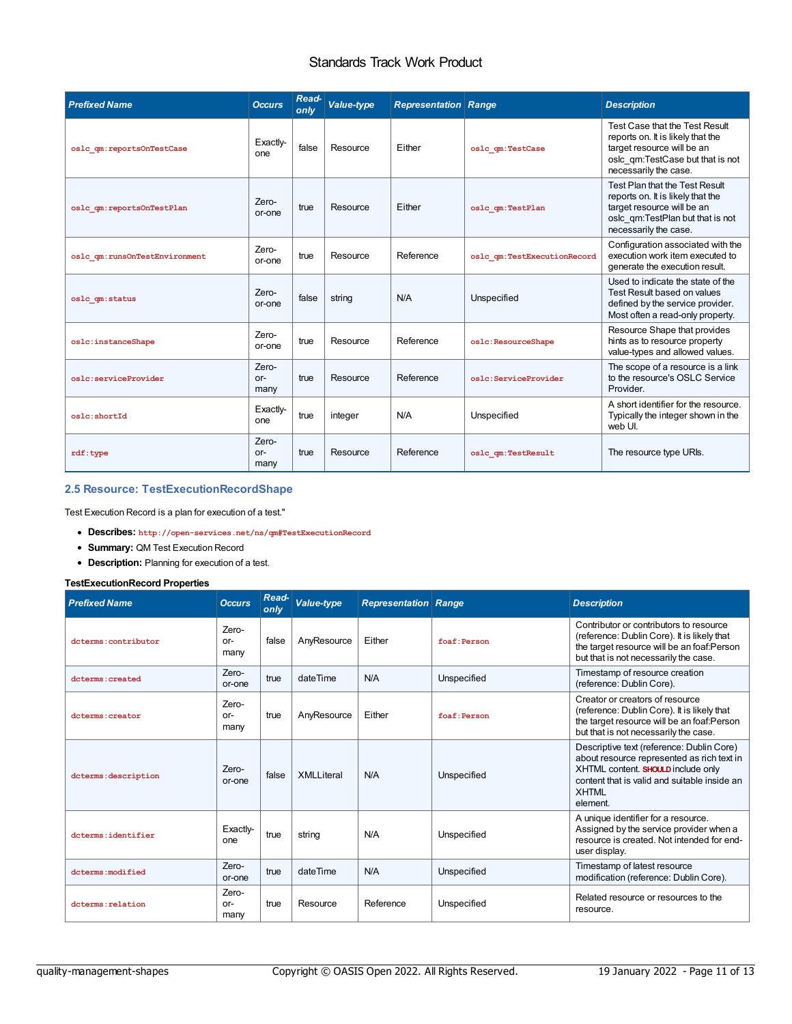| <b>Prefixed Name</b>          | <b>Occurs</b>          | Read-<br>only | <b>Value-type</b> | <b>Representation Range</b> |                             | <b>Description</b>                                                                                                                                             |
|-------------------------------|------------------------|---------------|-------------------|-----------------------------|-----------------------------|----------------------------------------------------------------------------------------------------------------------------------------------------------------|
| oslc qm:reportsOnTestCase     | Exactiv-<br>one        | false         | Resource          | Either                      | oslc qm:TestCase            | Test Case that the Test Result<br>reports on. It is likely that the<br>target resource will be an<br>oslc gm:TestCase but that is not<br>necessarily the case. |
| oslc qm:reportsOnTestPlan     | Zero-<br>or-one        | true          | Resource          | Either                      | oslc qm:TestPlan            | Test Plan that the Test Result<br>reports on. It is likely that the<br>target resource will be an<br>oslc gm:TestPlan but that is not<br>necessarily the case. |
| oslc qm:runsOnTestEnvironment | Zero-<br>or-one        | true          | Resource          | Reference                   | oslc qm:TestExecutionRecord | Configuration associated with the<br>execution work item executed to<br>generate the execution result.                                                         |
| oslc qm:status                | Zero-<br>or-one        | false         | string            | N/A                         | Unspecified                 | Used to indicate the state of the<br>Test Result based on values<br>defined by the service provider.<br>Most often a read-only property.                       |
| oslc:instanceShape            | Zero-<br>or-one        | true          | Resource          | Reference                   | oslc:ResourceShape          | Resource Shape that provides<br>hints as to resource property<br>value-types and allowed values.                                                               |
| oslc:serviceProvider          | Zero-<br>$or-$<br>many | true          | Resource          | Reference                   | oslc:ServiceProvider        | The scope of a resource is a link<br>to the resource's OSLC Service<br>Provider.                                                                               |
| oslc:shortId                  | Exactly-<br>one        | true          | integer           | N/A                         | Unspecified                 | A short identifier for the resource.<br>Typically the integer shown in the<br>web UI.                                                                          |
| rdf:type                      | Zero-<br>$or-$<br>many | true          | Resource          | Reference                   | oslc qm:TestResult          | The resource type URIs.                                                                                                                                        |

#### **2.5 Resource: TestExecutionRecordShape**

Test Execution Record is a plan for execution of a test."

- **Describes: http://open-services.net/ns/qm#TestExecutionRecord**
- **Summary:** QM Test Execution Record
- **Description:** Planning for execution of a test.

#### **TestExecutionRecord Properties**

| <b>Prefixed Name</b> | <b>Occurs</b>          | Read-<br>only | Value-type        | <b>Representation Range</b> |              | <b>Description</b>                                                                                                                                                                                        |
|----------------------|------------------------|---------------|-------------------|-----------------------------|--------------|-----------------------------------------------------------------------------------------------------------------------------------------------------------------------------------------------------------|
| dcterms:contributor  | Zero-<br>$or-$<br>many | false         | AnyResource       | Either                      | foaf: Person | Contributor or contributors to resource<br>(reference: Dublin Core). It is likely that<br>the target resource will be an foaf:Person<br>but that is not necessarily the case.                             |
| doterms: created     | Zero-<br>or-one        | true          | dateTime          | N/A                         | Unspecified  | Timestamp of resource creation<br>(reference: Dublin Core).                                                                                                                                               |
| dcterms: creator     | Zero-<br>$or-$<br>many | true          | AnyResource       | Either                      | foaf: Person | Creator or creators of resource<br>(reference: Dublin Core). It is likely that<br>the target resource will be an foaf:Person<br>but that is not necessarily the case.                                     |
| dcterms: description | Zero-<br>or-one        | false         | <b>XMLLiteral</b> | N/A                         | Unspecified  | Descriptive text (reference: Dublin Core)<br>about resource represented as rich text in<br>XHTML content. SHOULD include only<br>content that is valid and suitable inside an<br><b>XHTML</b><br>element. |
| dcterms:identifier   | Exactiv-<br>one        | true          | string            | N/A                         | Unspecified  | A unique identifier for a resource.<br>Assigned by the service provider when a<br>resource is created. Not intended for end-<br>user display.                                                             |
| dcterms: modified    | Zero-<br>or-one        | true          | dateTime          | N/A                         | Unspecified  | Timestamp of latest resource<br>modification (reference: Dublin Core).                                                                                                                                    |
| dcterms:relation     | Zero-<br>or-<br>many   | true          | Resource          | Reference                   | Unspecified  | Related resource or resources to the<br>resource.                                                                                                                                                         |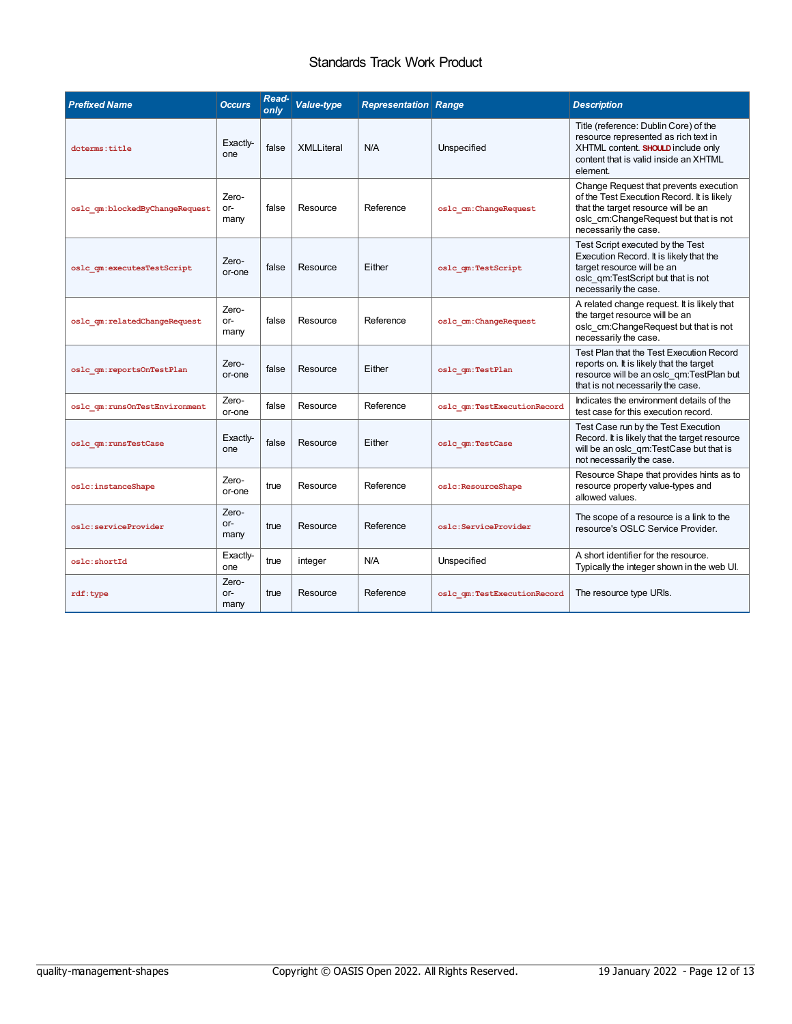<span id="page-11-0"></span>

| <b>Prefixed Name</b>           | <b>Occurs</b>          | Read-<br>only | <b>Value-type</b> | <b>Representation Range</b> |                             | <b>Description</b>                                                                                                                                                                            |
|--------------------------------|------------------------|---------------|-------------------|-----------------------------|-----------------------------|-----------------------------------------------------------------------------------------------------------------------------------------------------------------------------------------------|
| dcterms:title                  | Exactiv-<br>one        | false         | <b>XMLLiteral</b> | N/A                         | Unspecified                 | Title (reference: Dublin Core) of the<br>resource represented as rich text in<br>XHTML content. SHOULD include only<br>content that is valid inside an XHTML<br>element.                      |
| oslc qm:blockedByChangeRequest | Zero-<br>or-<br>many   | false         | Resource          | Reference                   | oslc cm: ChangeRequest      | Change Request that prevents execution<br>of the Test Execution Record. It is likely<br>that the target resource will be an<br>oslc cm:ChangeRequest but that is not<br>necessarily the case. |
| oslc qm:executesTestScript     | Zero-<br>or-one        | false         | Resource          | Either                      | oslc qm:TestScript          | Test Script executed by the Test<br>Execution Record. It is likely that the<br>target resource will be an<br>oslc qm:TestScript but that is not<br>necessarily the case.                      |
| oslc qm:relatedChangeRequest   | Zero-<br>or-<br>many   | false         | Resource          | Reference                   | oslc cm: ChangeRequest      | A related change request. It is likely that<br>the target resource will be an<br>oslc_cm:ChangeRequest but that is not<br>necessarily the case.                                               |
| oslc qm:reportsOnTestPlan      | Zero-<br>or-one        | false         | Resource          | Either                      | oslc qm:TestPlan            | Test Plan that the Test Execution Record<br>reports on. It is likely that the target<br>resource will be an oslc qm:TestPlan but<br>that is not necessarily the case.                         |
| oslc qm:runsOnTestEnvironment  | Zero-<br>or-one        | false         | Resource          | Reference                   | oslc qm:TestExecutionRecord | Indicates the environment details of the<br>test case for this execution record.                                                                                                              |
| oslc qm:runsTestCase           | Exactiv-<br>one        | false         | Resource          | Fither                      | oslc qm:TestCase            | Test Case run by the Test Execution<br>Record. It is likely that the target resource<br>will be an oslc qm:TestCase but that is<br>not necessarily the case.                                  |
| oslc:instanceShape             | Zero-<br>or-one        | true          | Resource          | Reference                   | oslc:ResourceShape          | Resource Shape that provides hints as to<br>resource property value-types and<br>allowed values.                                                                                              |
| oslc:serviceProvider           | Zero-<br>or-<br>many   | true          | Resource          | Reference                   | oslc:ServiceProvider        | The scope of a resource is a link to the<br>resource's OSLC Service Provider.                                                                                                                 |
| oslc:shortId                   | Exactly-<br>one        | true          | integer           | N/A                         | Unspecified                 | A short identifier for the resource.<br>Typically the integer shown in the web UI.                                                                                                            |
| rdf:type                       | Zero-<br>$or-$<br>many | true          | Resource          | Reference                   | oslc qm:TestExecutionRecord | The resource type URIs.                                                                                                                                                                       |